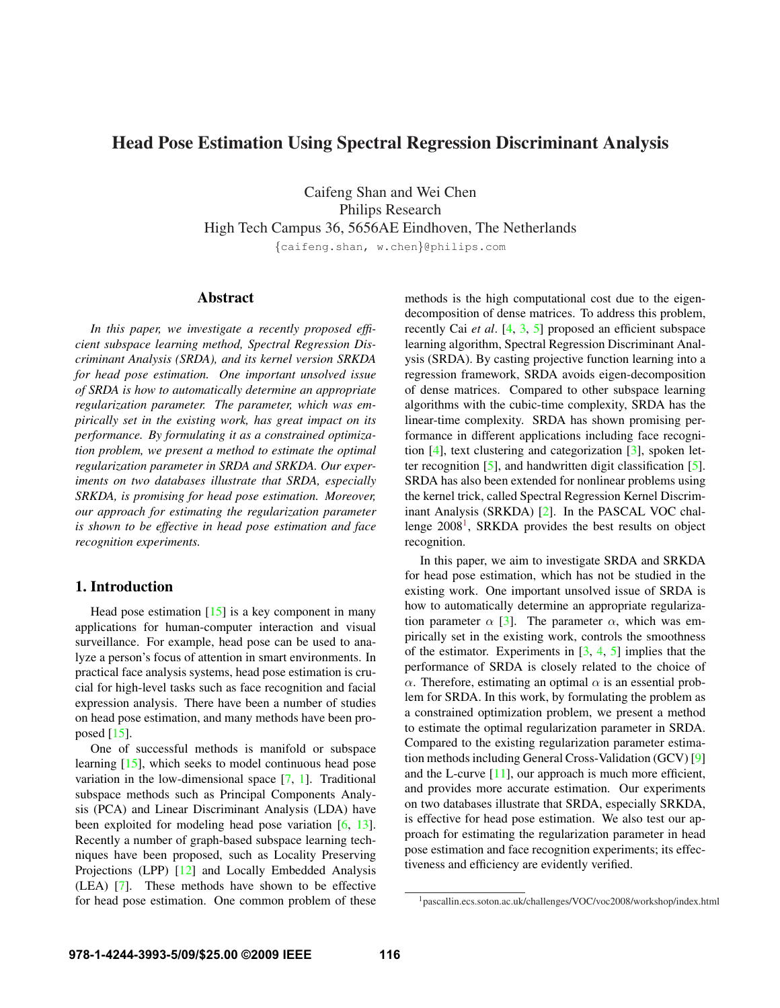# Head Pose Estimation Using Spectral Regression Discriminant Analysis

Caifeng Shan and Wei Chen Philips Research High Tech Campus 36, 5656AE Eindhoven, The Netherlands {caifeng.shan, w.chen}@philips.com

#### Abstract

*In this paper, we investigate a recently proposed efficient subspace learning method, Spectral Regression Discriminant Analysis (SRDA), and its kernel version SRKDA for head pose estimation. One important unsolved issue of SRDA is how to automatically determine an appropriate regularization parameter. The parameter, which was empirically set in the existing work, has great impact on its performance. By formulating it as a constrained optimization problem, we present a method to estimate the optimal regularization parameter in SRDA and SRKDA. Our experiments on two databases illustrate that SRDA, especially SRKDA, is promising for head pose estimation. Moreover, our approach for estimating the regularization parameter is shown to be effective in head pose estimation and face recognition experiments.*

### 1. Introduction

Head pose estimation  $[15]$  is a key component in many applications for human-computer interaction and visual surveillance. For example, head pose can be used to analyze a person's focus of attention in smart environments. In practical face analysis systems, head pose estimation is crucial for high-level tasks such as face recognition and facial expression analysis. There have been a number of studies on head pose estimation, and many methods have been proposed  $[15]$ .

One of successful methods is manifold or subspace learning [15], which seeks to model continuous head pose variation in the low-dimensional space [7, 1]. Traditional subspace methods such as Principal Components Analysis (PCA) and Linear Discriminant Analysis (LDA) have been exploited for modeling head pose variation  $[6, 13]$ . Recently a number of graph-based subspace learning techniques have been proposed, such as Locality Preserving Projections (LPP) [12] and Locally Embedded Analysis (LEA) [7]. These methods have shown to be effective for head pose estimation. One common problem of these methods is the high computational cost due to the eigendecomposition of dense matrices. To address this problem, recently Cai *et al*. [4, 3, 5] proposed an efficient subspace learning algorithm, Spectral Regression Discriminant Analysis (SRDA). By casting projective function learning into a regression framework, SRDA avoids eigen-decomposition of dense matrices. Compared to other subspace learning algorithms with the cubic-time complexity, SRDA has the linear-time complexity. SRDA has shown promising performance in different applications including face recognition [4], text clustering and categorization [3], spoken letter recognition  $[5]$ , and handwritten digit classification  $[5]$ . SRDA has also been extended for nonlinear problems using the kernel trick, called Spectral Regression Kernel Discriminant Analysis (SRKDA) [2]. In the PASCAL VOC challenge 2008<sup>1</sup>, SRKDA provides the best results on object recognition.

In this paper, we aim to investigate SRDA and SRKDA for head pose estimation, which has not be studied in the existing work. One important unsolved issue of SRDA is how to automatically determine an appropriate regularization parameter  $\alpha$  [3]. The parameter  $\alpha$ , which was empirically set in the existing work, controls the smoothness of the estimator. Experiments in  $[3, 4, 5]$  implies that the performance of SRDA is closely related to the choice of  $\alpha$ . Therefore, estimating an optimal  $\alpha$  is an essential problem for SRDA. In this work, by formulating the problem as a constrained optimization problem, we present a method to estimate the optimal regularization parameter in SRDA. Compared to the existing regularization parameter estimation methods including General Cross-Validation (GCV) [9] and the L-curve [11], our approach is much more efficient, and provides more accurate estimation. Our experiments on two databases illustrate that SRDA, especially SRKDA, is effective for head pose estimation. We also test our approach for estimating the regularization parameter in head pose estimation and face recognition experiments; its effectiveness and efficiency are evidently verified.

<sup>1</sup>pascallin.ecs.soton.ac.uk/challenges/VOC/voc2008/workshop/index.html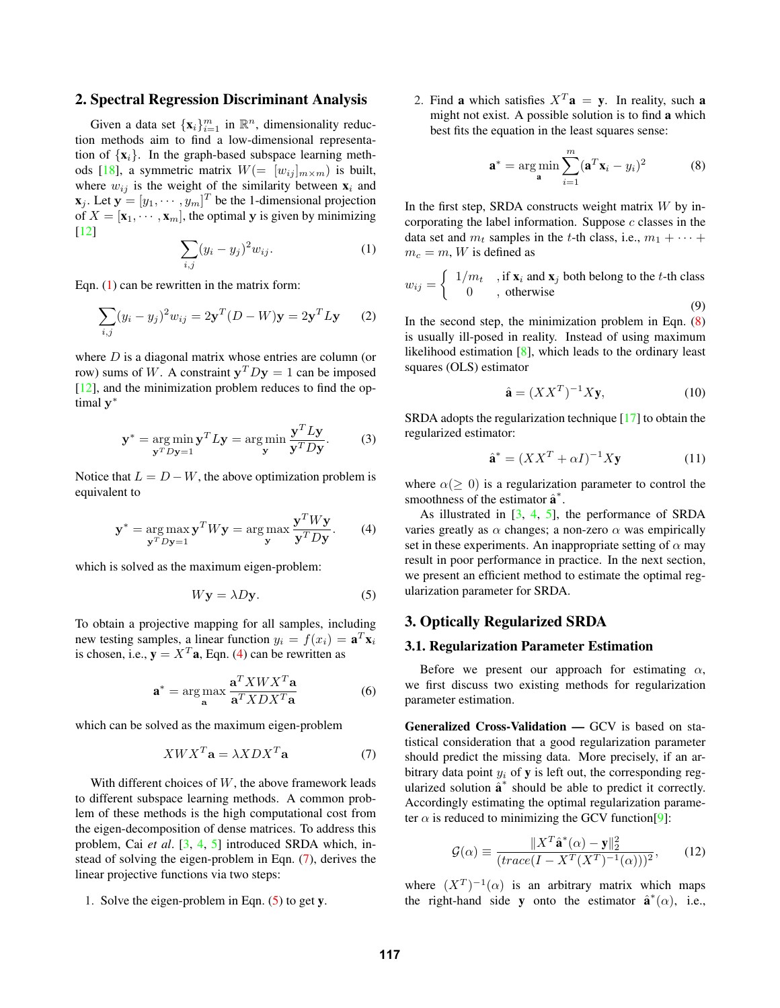# 2. Spectral Regression Discriminant Analysis

Given a data set  $\{x_i\}_{i=1}^m$  in  $\mathbb{R}^n$ , dimensionality reduction methods aim to find a low-dimensional representation of  $\{x_i\}$ . In the graph-based subspace learning methods [18], a symmetric matrix  $W(=[w_{ij}]_{m \times m})$  is built, where  $w_{ij}$  is the weight of the similarity between  $x_i$  and  $\mathbf{x}_j$ . Let  $\mathbf{y} = [y_1, \dots, y_m]^T$  be the 1-dimensional projection<br>of  $X = [\mathbf{x}_1, \dots, \mathbf{x}_m]$  the optimal v is given by minimizing of  $X = [\mathbf{x}_1, \dots, \mathbf{x}_m]$ , the optimal y is given by minimizing [12]

$$
\sum_{i,j} (y_i - y_j)^2 w_{ij}.
$$
 (1)

Eqn.  $(1)$  can be rewritten in the matrix form:

$$
\sum_{i,j} (y_i - y_j)^2 w_{ij} = 2\mathbf{y}^T (D - W)\mathbf{y} = 2\mathbf{y}^T L \mathbf{y} \qquad (2)
$$

where  $D$  is a diagonal matrix whose entries are column (or row) sums of W. A constraint  $y^T D y = 1$  can be imposed  $[12]$ , and the minimization problem reduces to find the optimal **y**<sup>∗</sup>

$$
\mathbf{y}^* = \underset{\mathbf{y}^T D \mathbf{y} = 1}{\arg \min} \mathbf{y}^T L \mathbf{y} = \underset{\mathbf{y}}{\arg \min} \frac{\mathbf{y}^T L \mathbf{y}}{\mathbf{y}^T D \mathbf{y}}.
$$
 (3)

Notice that  $L = D - W$ , the above optimization problem is equivalent to

$$
\mathbf{y}^* = \underset{\mathbf{y}^T D \mathbf{y} = 1}{\arg \max} \mathbf{y}^T W \mathbf{y} = \underset{\mathbf{y}}{\arg \max} \frac{\mathbf{y}^T W \mathbf{y}}{\mathbf{y}^T D \mathbf{y}}.
$$
 (4)

which is solved as the maximum eigen-problem:

$$
W\mathbf{y} = \lambda D\mathbf{y}.\tag{5}
$$

To obtain a projective mapping for all samples, including new testing samples, a linear function  $y_i = f(x_i) = \mathbf{a}^T \mathbf{x}_i$ is chosen, i.e.,  $y = X^T a$ , Eqn. (4) can be rewritten as

$$
\mathbf{a}^* = \arg\max_{\mathbf{a}} \frac{\mathbf{a}^T X W X^T \mathbf{a}}{\mathbf{a}^T X D X^T \mathbf{a}} \tag{6}
$$

which can be solved as the maximum eigen-problem

$$
XWX^T \mathbf{a} = \lambda XDX^T \mathbf{a}
$$
 (7)

With different choices of  $W$ , the above framework leads to different subspace learning methods. A common problem of these methods is the high computational cost from the eigen-decomposition of dense matrices. To address this problem, Cai *et al*. [3, 4, 5] introduced SRDA which, instead of solving the eigen-problem in Eqn. (7), derives the linear projective functions via two steps:

1. Solve the eigen-problem in Eqn.  $(5)$  to get y.

2. Find a which satisfies  $X^T$ **a** = **v**. In reality, such **a** might not exist. A possible solution is to find a which best fits the equation in the least squares sense:

$$
\mathbf{a}^* = \arg\min_{\mathbf{a}} \sum_{i=1}^m (\mathbf{a}^T \mathbf{x}_i - y_i)^2
$$
 (8)

In the first step, SRDA constructs weight matrix  $W$  by incorporating the label information. Suppose  $c$  classes in the data set and  $m_t$  samples in the t-th class, i.e.,  $m_1 + \cdots$  $m_c = m$ , W is defined as

$$
w_{ij} = \begin{cases} 1/m_t, & \text{if } \mathbf{x}_i \text{ and } \mathbf{x}_j \text{ both belong to the } t \text{-th class} \\ 0, & \text{otherwise} \end{cases}
$$
 (9)

In the second step, the minimization problem in Eqn.  $(8)$ is usually ill-posed in reality. Instead of using maximum likelihood estimation [8], which leads to the ordinary least squares (OLS) estimator

$$
\hat{\mathbf{a}} = (XX^T)^{-1}X\mathbf{y},\tag{10}
$$

SRDA adopts the regularization technique [17] to obtain the regularized estimator:

$$
\hat{\mathbf{a}}^* = (XX^T + \alpha I)^{-1} X \mathbf{y}
$$
 (11)

where  $\alpha(\geq 0)$  is a regularization parameter to control the smoothness of the estimator  $\hat{\mathbf{a}}^*$ .<br>As illustrated in [3, 4, 5]

As illustrated in  $[3, 4, 5]$ , the performance of SRDA varies greatly as  $\alpha$  changes; a non-zero  $\alpha$  was empirically set in these experiments. An inappropriate setting of  $\alpha$  may result in poor performance in practice. In the next section, we present an efficient method to estimate the optimal regularization parameter for SRDA.

## 3. Optically Regularized SRDA

#### 3.1. Regularization Parameter Estimation

Before we present our approach for estimating  $\alpha$ , we first discuss two existing methods for regularization parameter estimation.

Generalized Cross-Validation — GCV is based on statistical consideration that a good regularization parameter should predict the missing data. More precisely, if an arbitrary data point  $y_i$  of **v** is left out, the corresponding regularized solution  $\hat{a}^*$  should be able to predict it correctly. Accordingly estimating the optimal regularization parameter  $\alpha$  is reduced to minimizing the GCV function<sup>[9]</sup>:

$$
\mathcal{G}(\alpha) \equiv \frac{\|X^T \hat{\mathbf{a}}^*(\alpha) - \mathbf{y}\|_2^2}{(trace(I - X^T(X^T)^{-1}(\alpha)))^2},\qquad(12)
$$

where  $(X^T)^{-1}(\alpha)$  is an arbitrary matrix which maps the right-hand side **y** onto the estimator  $\hat{\mathbf{a}}^*(\alpha)$ , i.e.,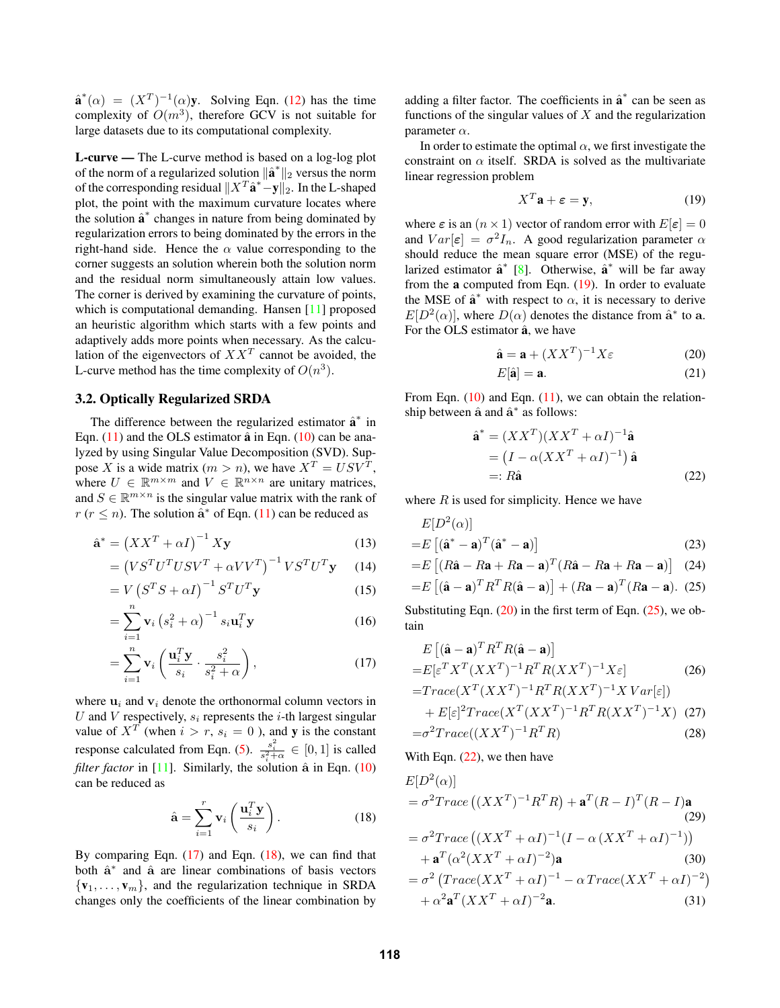$\hat{\mathbf{a}}^*(\alpha) = (X^T)^{-1}(\alpha)\mathbf{y}$ . Solving Eqn. (12) has the time<br>complexity of  $O(m^3)$  therefore GCV is not suitable for complexity of  $O(m^3)$ , therefore GCV is not suitable for large datasets due to its computational complexity.

L-curve — The L-curve method is based on a log-log plot of the norm of a regularized solution  $\|\hat{\mathbf{a}}^*\|_2$  versus the norm<br>of the corresponding regidual  $\|\mathbf{Y}^T\hat{\mathbf{a}}^*\|_{\infty}$ . In the L shaped of the corresponding residual  $||X^T \hat{\mathbf{a}}^* - \mathbf{y}||_2$ . In the L-shaped<br>plot, the point with the maximum curvature locates where plot, the point with the maximum curvature locates where the solution  $\hat{a}^*$  changes in nature from being dominated by regularization errors to being dominated by the errors in the right-hand side. Hence the  $\alpha$  value corresponding to the corner suggests an solution wherein both the solution norm and the residual norm simultaneously attain low values. The corner is derived by examining the curvature of points, which is computational demanding. Hansen [11] proposed an heuristic algorithm which starts with a few points and adaptively adds more points when necessary. As the calculation of the eigenvectors of  $XX<sup>T</sup>$  cannot be avoided, the L-curve method has the time complexity of  $O(n^3)$ .

#### 3.2. Optically Regularized SRDA

The difference between the regularized estimator  $\hat{a}^*$  in Eqn.  $(11)$  and the OLS estimator  $\hat{a}$  in Eqn.  $(10)$  can be analyzed by using Singular Value Decomposition (SVD). Suppose X is a wide matrix  $(m>n)$ , we have  $X^T = USV^T$ , where  $U \in \mathbb{R}^{m \times m}$  and  $V \in \mathbb{R}^{n \times n}$  are unitary matrices, and  $S \in \mathbb{R}^{m \times n}$  is the singular value matrix with the rank of  $r (r \leq n)$ . The solution  $\hat{\mathbf{a}}^*$  of Eqn. (11) can be reduced as

$$
\hat{\mathbf{a}}^* = \left(XX^T + \alpha I\right)^{-1} X \mathbf{y}
$$
\n(13)

$$
= \left( VS^T U^T USV^T + \alpha V V^T \right)^{-1} VS^T U^T \mathbf{y} \tag{14}
$$

$$
= V \left( S^T S + \alpha I \right)^{-1} S^T U^T \mathbf{y}
$$
 (15)

$$
= \sum_{i=1}^{N} \mathbf{v}_i \left(s_i^2 + \alpha\right)^{-1} s_i \mathbf{u}_i^T \mathbf{y}
$$
 (16)

$$
= \sum_{i=1}^{n} \mathbf{v}_i \left( \frac{\mathbf{u}_i^T \mathbf{y}}{s_i} \cdot \frac{s_i^2}{s_i^2 + \alpha} \right), \tag{17}
$$

where  $\mathbf{u}_i$  and  $\mathbf{v}_i$  denote the orthonormal column vectors in U and V respectively,  $s_i$  represents the *i*-th largest singular value of  $X^T$  (when  $i > r$ ,  $s_i = 0$ ), and y is the constant response calculated from Eqn. (5).  $\frac{s_i^2}{s_i^2 + \alpha} \in [0, 1]$  is called<br>flag factor in [11]. Similarly the solution  $\hat{\epsilon}$  in Eqn. (10) *filter factor* in [11]. Similarly, the solution  $\hat{a}$  in Eqn. (10) can be reduced as

$$
\hat{\mathbf{a}} = \sum_{i=1}^{r} \mathbf{v}_i \left( \frac{\mathbf{u}_i^T \mathbf{y}}{s_i} \right). \tag{18}
$$

By comparing Eqn.  $(17)$  and Eqn.  $(18)$ , we can find that both **<sup>a</sup>**ˆ<sup>∗</sup> and **<sup>a</sup>**<sup>ˆ</sup> are linear combinations of basis vectors  $\{v_1,\ldots,v_m\}$ , and the regularization technique in SRDA changes only the coefficients of the linear combination by

adding a filter factor. The coefficients in  $\hat{a}^*$  can be seen as functions of the singular values of  $X$  and the regularization parameter  $\alpha$ .

In order to estimate the optimal  $\alpha$ , we first investigate the constraint on  $\alpha$  itself. SRDA is solved as the multivariate linear regression problem

$$
X^T \mathbf{a} + \boldsymbol{\varepsilon} = \mathbf{y},\tag{19}
$$

where  $\varepsilon$  is an  $(n \times 1)$  vector of random error with  $E[\varepsilon]=0$ and  $Var[\varepsilon] = \sigma^2 I_n$ . A good regularization parameter  $\alpha$ should reduce the mean square error (MSE) of the regularized estimator  $\hat{\mathbf{a}}^*$  [8]. Otherwise,  $\hat{\mathbf{a}}^*$  will be far away from the  $a$  computed from Eqn.  $(19)$ . In order to evaluate the MSE of  $\hat{\mathbf{a}}^*$  with respect to  $\alpha$ , it is necessary to derive  $E[D^2(\alpha)]$ , where  $D(\alpha)$  denotes the distance from  $\hat{\mathbf{a}}^*$  to  $\mathbf{a}$ . For the OLS estimator  $\hat{a}$ , we have

$$
\hat{\mathbf{a}} = \mathbf{a} + (XX^T)^{-1} X \varepsilon \tag{20}
$$

$$
E[\hat{\mathbf{a}}] = \mathbf{a}.\tag{21}
$$

From Eqn.  $(10)$  and Eqn.  $(11)$ , we can obtain the relationship between  $\hat{a}$  and  $\hat{a}^*$  as follows:

$$
\hat{\mathbf{a}}^* = (XX^T)(XX^T + \alpha I)^{-1}\hat{\mathbf{a}}
$$
  
=  $(I - \alpha (XX^T + \alpha I)^{-1})\hat{\mathbf{a}}$   
=:  $R\hat{\mathbf{a}}$  (22)

where  $R$  is used for simplicity. Hence we have

$$
E[D^{2}(\alpha)]
$$
  
= $E[(\hat{\mathbf{a}}^{*} - \mathbf{a})^{T}(\hat{\mathbf{a}}^{*} - \mathbf{a})]$  (23)

$$
=E\left[ (R\hat{\mathbf{a}} - R\mathbf{a} + R\mathbf{a} - \mathbf{a})^T (R\hat{\mathbf{a}} - R\mathbf{a} + R\mathbf{a} - \mathbf{a}) \right]
$$
 (24)  

$$
=E\left[ (\hat{\mathbf{a}} - \mathbf{a})^T R^T R (\hat{\mathbf{a}} - \mathbf{a}) \right] + (R\mathbf{a} - \mathbf{a})^T (R\mathbf{a} - \mathbf{a}).
$$
 (25)

$$
=E\left[ (\hat{\mathbf{a}} - \mathbf{a})^T R^T R (\hat{\mathbf{a}} - \mathbf{a}) \right] + (R\mathbf{a} - \mathbf{a})^T (R\mathbf{a} - \mathbf{a}). \tag{25}
$$
  
Substituting Eqn. (20) in the first term of Eqn. (25), we ob-

tain

$$
E\left[ (\hat{\mathbf{a}} - \mathbf{a})^T R^T R(\hat{\mathbf{a}} - \mathbf{a}) \right]
$$
  
= 
$$
E[\varepsilon^T X^T (XX^T)^{-1} R^T R (XX^T)^{-1} X \varepsilon]
$$
  

$$
T_{\text{Higgs}} (X^T (XX^T)^{-1} R^T R (XX^T)^{-1} X [X \text{tr}[\cdot])
$$
 (26)

$$
=Trace(X^T (XX^T)^{-1}R^T R (XX^T)^{-1}X Var[\varepsilon])
$$

$$
+ E[\varepsilon]^2 Trace(X^T (XX^T)^{-1} R^T R (XX^T)^{-1} X) \tag{27}
$$

$$
= \sigma^2 Trace((XX^T)^{-1} R^T R) \tag{28}
$$

With Eqn. (22), we then have

$$
E[D^{2}(\alpha)]
$$
  
=  $\sigma^{2}Trace\left((XX^{T})^{-1}R^{T}R\right) + \mathbf{a}^{T}(R - I)^{T}(R - I)\mathbf{a}$   
=  $\sigma^{2}Trace\left((XX^{T} + \alpha I)^{-1}(I - \alpha (XX^{T} + \alpha I)^{-1})\right)$   
+  $\mathbf{a}^{T}(\alpha^{2}(XX^{T} + \alpha I)^{-2})\mathbf{a}$  (30)  
=  $\sigma^{2}\left(Trace(XX^{T} + \alpha I)^{-1} - \alpha Trace(XX^{T} + \alpha I)^{-2}\right)$   
+  $\alpha^{2}\mathbf{a}^{T}(XX^{T} + \alpha I)^{-2}\mathbf{a}$  (31)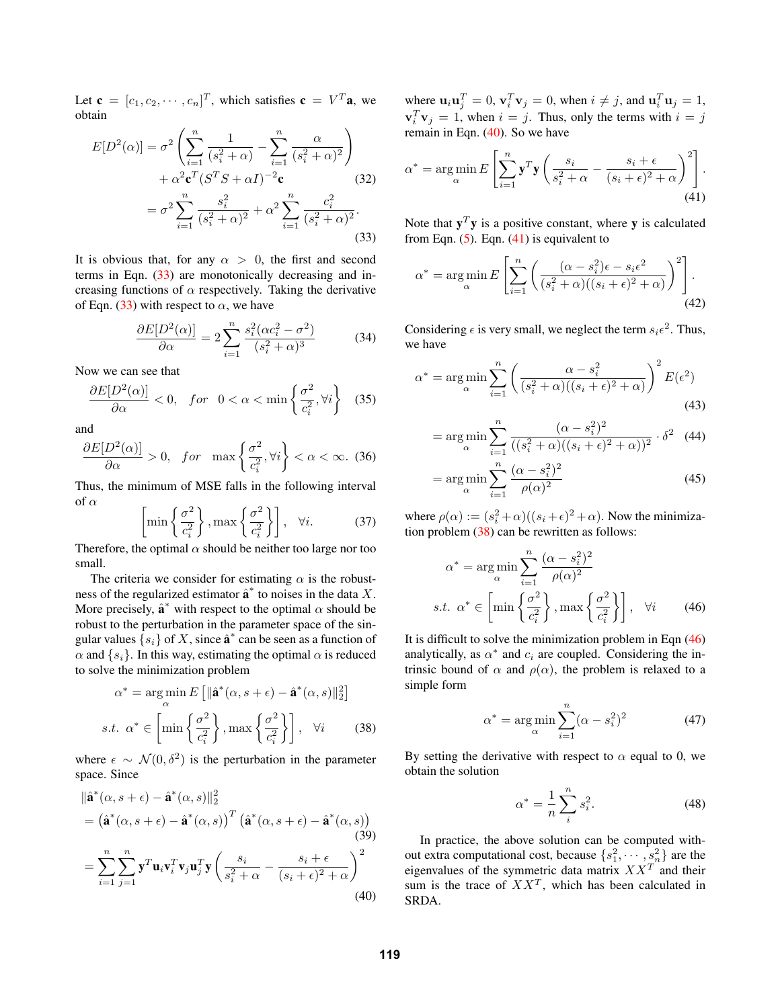Let  $\mathbf{c} = [c_1, c_2, \cdots, c_n]^T$ , which satisfies  $\mathbf{c} = V^T \mathbf{a}$ , we obtain obtain

$$
E[D^{2}(\alpha)] = \sigma^{2} \left( \sum_{i=1}^{n} \frac{1}{(s_{i}^{2} + \alpha)} - \sum_{i=1}^{n} \frac{\alpha}{(s_{i}^{2} + \alpha)^{2}} \right) + \alpha^{2} \mathbf{c}^{T} (S^{T} S + \alpha I)^{-2} \mathbf{c}
$$
\n
$$
= \sigma^{2} \sum_{i=1}^{n} \frac{s_{i}^{2}}{(s_{i}^{2} + \alpha)^{2}} + \alpha^{2} \sum_{i=1}^{n} \frac{c_{i}^{2}}{(s_{i}^{2} + \alpha)^{2}}.
$$
\n(33)

It is obvious that, for any  $\alpha > 0$ , the first and second terms in Eqn. (33) are monotonically decreasing and increasing functions of  $\alpha$  respectively. Taking the derivative of Eqn. (33) with respect to  $\alpha$ , we have

$$
\frac{\partial E[D^2(\alpha)]}{\partial \alpha} = 2 \sum_{i=1}^n \frac{s_i^2 (\alpha c_i^2 - \sigma^2)}{(s_i^2 + \alpha)^3}
$$
(34)

Now we can see that

$$
\frac{\partial E[D^2(\alpha)]}{\partial \alpha} < 0, \quad \text{for} \quad 0 < \alpha < \min\left\{\frac{\sigma^2}{c_i^2}, \forall i\right\} \tag{35}
$$

and

$$
\frac{\partial E[D^2(\alpha)]}{\partial \alpha} > 0, \quad \text{for} \quad \max\left\{\frac{\sigma^2}{c_i^2}, \forall i\right\} < \alpha < \infty. \tag{36}
$$

Thus, the minimum of MSE falls in the following interval of  $\alpha$ 

$$
\left[\min\left\{\frac{\sigma^2}{c_i^2}\right\}, \max\left\{\frac{\sigma^2}{c_i^2}\right\}\right], \quad \forall i. \tag{37}
$$

Therefore, the optimal  $\alpha$  should be neither too large nor too small.

The criteria we consider for estimating  $\alpha$  is the robustness of the regularized estimator  $\hat{\mathbf{a}}^*$  to noises in the data X. More precisely,  $\hat{\mathbf{a}}^*$  with respect to the optimal  $\alpha$  should be robust to the perturbation in the parameter space of the singular values  $\{s_i\}$  of X, since  $\hat{\mathbf{a}}^*$  can be seen as a function of  $\alpha$  and  $\{s_i\}$ . In this way, estimating the optimal  $\alpha$  is reduced to solve the minimization problem

$$
\alpha^* = \underset{\alpha}{\arg\min} E\left[\|\hat{\mathbf{a}}^*(\alpha, s + \epsilon) - \hat{\mathbf{a}}^*(\alpha, s)\|_2^2\right]
$$
  
s.t. 
$$
\alpha^* \in \left[\min\left\{\frac{\sigma^2}{c_i^2}\right\}, \max\left\{\frac{\sigma^2}{c_i^2}\right\}\right], \quad \forall i \tag{38}
$$

where  $\epsilon \sim \mathcal{N}(0, \delta^2)$  is the perturbation in the parameter space. Since

$$
\|\hat{\mathbf{a}}^{*}(\alpha, s+\epsilon) - \hat{\mathbf{a}}^{*}(\alpha, s)\|_{2}^{2}
$$
\n
$$
= \left(\hat{\mathbf{a}}^{*}(\alpha, s+\epsilon) - \hat{\mathbf{a}}^{*}(\alpha, s)\right)^{T} \left(\hat{\mathbf{a}}^{*}(\alpha, s+\epsilon) - \hat{\mathbf{a}}^{*}(\alpha, s)\right)
$$
\n
$$
= \sum_{i=1}^{n} \sum_{j=1}^{n} \mathbf{y}^{T} \mathbf{u}_{i} \mathbf{v}_{i}^{T} \mathbf{v}_{j} \mathbf{u}_{j}^{T} \mathbf{y} \left(\frac{s_{i}}{s_{i}^{2} + \alpha} - \frac{s_{i} + \epsilon}{(s_{i} + \epsilon)^{2} + \alpha}\right)^{2}
$$
\n(40)

where  $\mathbf{u}_i \mathbf{u}_j^T = 0$ ,  $\mathbf{v}_i^T \mathbf{v}_j = 0$ , when  $i \neq j$ , and  $\mathbf{u}_i^T \mathbf{u}_j = 1$ ,  $\mathbf{v}_i^T \mathbf{v}_j = 1$ , when  $i = j$ . Thus, only the terms with  $j = j$ .  $\mathbf{v}_i^T \mathbf{v}_j = 1$ , when  $i = j$ . Thus, only the terms with  $i = j$ <br>remain in Eqn. (40). So we have remain in Eqn. (40). So we have

$$
\alpha^* = \underset{\alpha}{\arg\min} E\left[\sum_{i=1}^n \mathbf{y}^T \mathbf{y} \left(\frac{s_i}{s_i^2 + \alpha} - \frac{s_i + \epsilon}{(s_i + \epsilon)^2 + \alpha}\right)^2\right].
$$
\n(41)

Note that  $y^T y$  is a positive constant, where y is calculated from Eqn.  $(5)$ . Eqn.  $(41)$  is equivalent to

$$
\alpha^* = \underset{\alpha}{\arg\min} E\left[\sum_{i=1}^n \left(\frac{(\alpha - s_i^2)\epsilon - s_i\epsilon^2}{(s_i^2 + \alpha)((s_i + \epsilon)^2 + \alpha)}\right)^2\right].\tag{42}
$$

Considering  $\epsilon$  is very small, we neglect the term  $s_i\epsilon^2$ . Thus, we have

$$
\alpha^* = \underset{\alpha}{\arg\min} \sum_{i=1}^n \left( \frac{\alpha - s_i^2}{(s_i^2 + \alpha)((s_i + \epsilon)^2 + \alpha)} \right)^2 E(\epsilon^2)
$$
\n(43)

$$
= \arg\min_{\alpha} \sum_{i=1}^{n} \frac{(\alpha - s_i^2)^2}{((s_i^2 + \alpha)((s_i + \epsilon)^2 + \alpha))^2} \cdot \delta^2 \quad (44)
$$

$$
= \arg\min_{\alpha} \sum_{i=1}^{n} \frac{(\alpha - s_i^2)^2}{\rho(\alpha)^2}
$$
(45)

where  $\rho(\alpha) := (s_i^2 + \alpha)((s_i + \epsilon)^2 + \alpha)$ . Now the minimization problem (38) can be rewritten as follows: tion problem (38) can be rewritten as follows:

$$
\alpha^* = \underset{\alpha}{\arg\min} \sum_{i=1}^n \frac{(\alpha - s_i^2)^2}{\rho(\alpha)^2}
$$
  
s.t.  $\alpha^* \in \left[ \min \left\{ \frac{\sigma^2}{c_i^2} \right\}, \max \left\{ \frac{\sigma^2}{c_i^2} \right\} \right], \forall i$  (46)

It is difficult to solve the minimization problem in Eqn (46) analytically, as  $\alpha^*$  and  $c_i$  are coupled. Considering the intrinsic bound of  $\alpha$  and  $\rho(\alpha)$ , the problem is relaxed to a simple form

$$
\alpha^* = \underset{\alpha}{\arg\min} \sum_{i=1}^n (\alpha - s_i^2)^2 \tag{47}
$$

By setting the derivative with respect to  $\alpha$  equal to 0, we obtain the solution

$$
\alpha^* = \frac{1}{n} \sum_{i}^{n} s_i^2. \tag{48}
$$

In practice, the above solution can be computed without extra computational cost, because  $\{s_1^2, \dots, s_n^2\}$  are the eigenvalues of the symmetric data matrix  $XX<sup>T</sup>$  and their sum is the trace of  $XX<sup>T</sup>$ , which has been calculated in SRDA.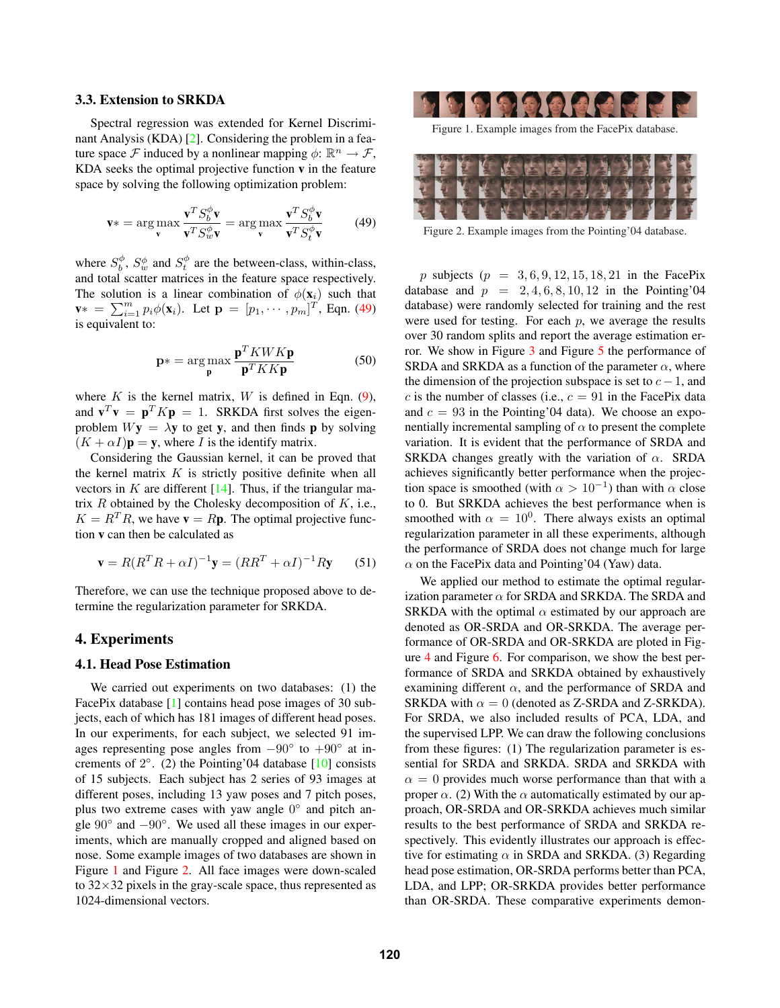#### 3.3. Extension to SRKDA

Spectral regression was extended for Kernel Discriminant Analysis (KDA) [2]. Considering the problem in a feature space F induced by a nonlinear mapping  $\phi: \mathbb{R}^n \to \mathcal{F}$ , KDA seeks the optimal projective function  $v$  in the feature space by solving the following optimization problem:

$$
\mathbf{v}^* = \arg\max_{\mathbf{v}} \frac{\mathbf{v}^T S_b^{\phi} \mathbf{v}}{\mathbf{v}^T S_w^{\phi} \mathbf{v}} = \arg\max_{\mathbf{v}} \frac{\mathbf{v}^T S_b^{\phi} \mathbf{v}}{\mathbf{v}^T S_v^{\phi} \mathbf{v}}
$$
(49)

where  $S_b^{\phi}$ ,  $S_w^{\phi}$  and  $S_t^{\phi}$  are the between-class, within-class, and total scatter matrices in the feature space respectively. The solution is a linear combination of  $\phi(\mathbf{x}_i)$  such that  $\mathbf{v}^* = \sum_{i=1}^m p_i \phi(\mathbf{x}_i)$ . Let  $\mathbf{p} = [p_1, \cdots, p_m]^T$ , Eqn. (49) is equivalent to:

$$
\mathbf{p}^* = \arg\max_{\mathbf{p}} \frac{\mathbf{p}^T K W K \mathbf{p}}{\mathbf{p}^T K K \mathbf{p}} \tag{50}
$$

where  $K$  is the kernel matrix,  $W$  is defined in Eqn. (9), and  $\mathbf{v}^T \mathbf{v} = \mathbf{p}^T K \mathbf{p} = 1$ . SRKDA first solves the eigenproblem  $Wy = \lambda y$  to get y, and then finds p by solving  $(K + \alpha I)\mathbf{p} = \mathbf{y}$ , where I is the identify matrix.

Considering the Gaussian kernel, it can be proved that the kernel matrix  $K$  is strictly positive definite when all vectors in  $K$  are different [14]. Thus, if the triangular matrix  $R$  obtained by the Cholesky decomposition of  $K$ , i.e.,  $K = R^{T} R$ , we have  $\mathbf{v} = R \mathbf{p}$ . The optimal projective function v can then be calculated as

$$
\mathbf{v} = R(R^T R + \alpha I)^{-1} \mathbf{y} = (R R^T + \alpha I)^{-1} R \mathbf{y} \qquad (51)
$$

Therefore, we can use the technique proposed above to determine the regularization parameter for SRKDA.

# 4. Experiments

### 4.1. Head Pose Estimation

We carried out experiments on two databases: (1) the FacePix database [1] contains head pose images of 30 subjects, each of which has 181 images of different head poses. In our experiments, for each subject, we selected 91 images representing pose angles from  $-90°$  to  $+90°$  at increments of  $2°$ . (2) the Pointing'04 database [10] consists of 15 subjects. Each subject has 2 series of 93 images at different poses, including 13 yaw poses and 7 pitch poses, plus two extreme cases with yaw angle  $0<sup>°</sup>$  and pitch angle  $90°$  and  $-90°$ . We used all these images in our experiments, which are manually cropped and aligned based on nose. Some example images of two databases are shown in Figure 1 and Figure 2. All face images were down-scaled to  $32\times32$  pixels in the gray-scale space, thus represented as 1024-dimensional vectors.



Figure 1. Example images from the FacePix database.



Figure 2. Example images from the Pointing'04 database.

p subjects ( $p = 3, 6, 9, 12, 15, 18, 21$  in the FacePix database and  $p = 2, 4, 6, 8, 10, 12$  in the Pointing'04 database) were randomly selected for training and the rest were used for testing. For each  $p$ , we average the results over 30 random splits and report the average estimation error. We show in Figure 3 and Figure 5 the performance of SRDA and SRKDA as a function of the parameter  $\alpha$ , where the dimension of the projection subspace is set to  $c - 1$ , and c is the number of classes (i.e.,  $c = 91$  in the FacePix data and  $c = 93$  in the Pointing'04 data). We choose an exponentially incremental sampling of  $\alpha$  to present the complete variation. It is evident that the performance of SRDA and SRKDA changes greatly with the variation of  $\alpha$ . SRDA achieves significantly better performance when the projection space is smoothed (with  $\alpha > 10^{-1}$ ) than with  $\alpha$  close to 0. But SRKDA achieves the best performance when is smoothed with  $\alpha = 10^0$ . There always exists an optimal regularization parameter in all these experiments, although the performance of SRDA does not change much for large  $\alpha$  on the FacePix data and Pointing'04 (Yaw) data.

We applied our method to estimate the optimal regularization parameter  $\alpha$  for SRDA and SRKDA. The SRDA and SRKDA with the optimal  $\alpha$  estimated by our approach are denoted as OR-SRDA and OR-SRKDA. The average performance of OR-SRDA and OR-SRKDA are ploted in Figure 4 and Figure 6. For comparison, we show the best performance of SRDA and SRKDA obtained by exhaustively examining different  $\alpha$ , and the performance of SRDA and SRKDA with  $\alpha = 0$  (denoted as Z-SRDA and Z-SRKDA). For SRDA, we also included results of PCA, LDA, and the supervised LPP. We can draw the following conclusions from these figures: (1) The regularization parameter is essential for SRDA and SRKDA. SRDA and SRKDA with  $\alpha = 0$  provides much worse performance than that with a proper  $\alpha$ . (2) With the  $\alpha$  automatically estimated by our approach, OR-SRDA and OR-SRKDA achieves much similar results to the best performance of SRDA and SRKDA respectively. This evidently illustrates our approach is effective for estimating  $\alpha$  in SRDA and SRKDA. (3) Regarding head pose estimation, OR-SRDA performs better than PCA, LDA, and LPP; OR-SRKDA provides better performance than OR-SRDA. These comparative experiments demon-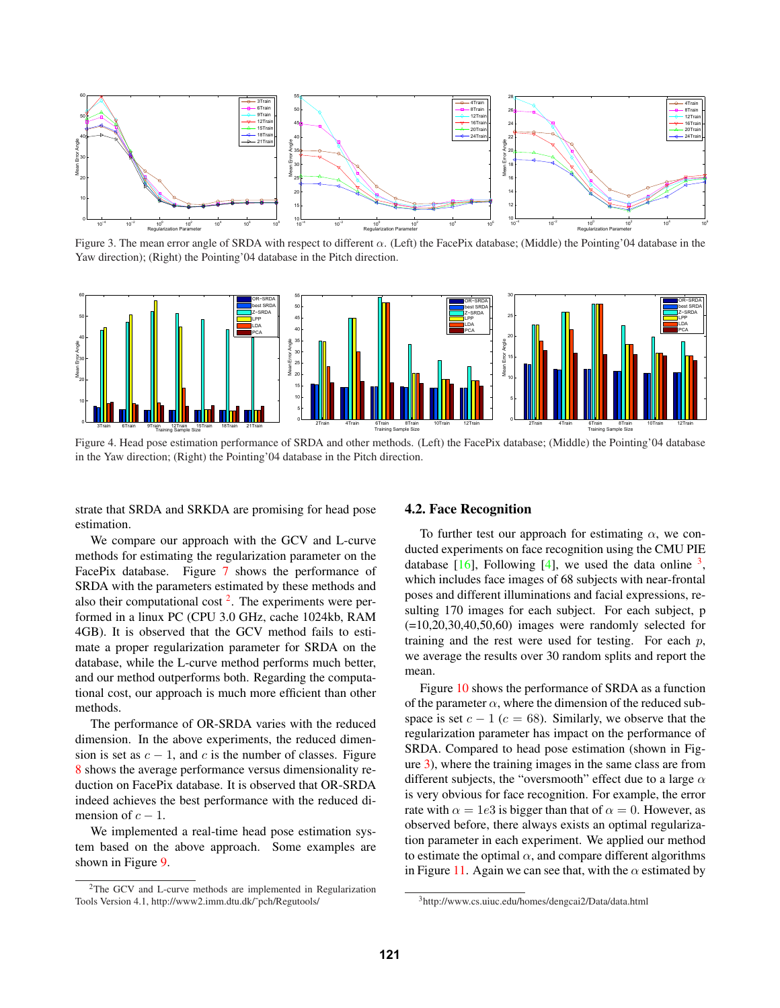

Figure 3. The mean error angle of SRDA with respect to different  $\alpha$ . (Left) the FacePix database; (Middle) the Pointing'04 database in the Yaw direction); (Right) the Pointing'04 database in the Pitch direction.



Figure 4. Head pose estimation performance of SRDA and other methods. (Left) the FacePix database; (Middle) the Pointing'04 database in the Yaw direction; (Right) the Pointing'04 database in the Pitch direction.

strate that SRDA and SRKDA are promising for head pose estimation.

We compare our approach with the GCV and L-curve methods for estimating the regularization parameter on the FacePix database. Figure 7 shows the performance of SRDA with the parameters estimated by these methods and also their computational cost  $2$ . The experiments were performed in a linux PC (CPU 3.0 GHz, cache 1024kb, RAM 4GB). It is observed that the GCV method fails to estimate a proper regularization parameter for SRDA on the database, while the L-curve method performs much better, and our method outperforms both. Regarding the computational cost, our approach is much more efficient than other methods.

The performance of OR-SRDA varies with the reduced dimension. In the above experiments, the reduced dimension is set as  $c - 1$ , and c is the number of classes. Figure 8 shows the average performance versus dimensionality reduction on FacePix database. It is observed that OR-SRDA indeed achieves the best performance with the reduced dimension of  $c - 1$ .

We implemented a real-time head pose estimation system based on the above approach. Some examples are shown in Figure 9.

#### 4.2. Face Recognition

To further test our approach for estimating  $\alpha$ , we conducted experiments on face recognition using the CMU PIE database  $[16]$ , Following  $[4]$ , we used the data online <sup>3</sup>, which includes face images of 68 subjects with near-frontal poses and different illuminations and facial expressions, resulting 170 images for each subject. For each subject, p  $(=10, 20, 30, 40, 50, 60)$  images were randomly selected for training and the rest were used for testing. For each  $p$ , we average the results over 30 random splits and report the mean.

Figure 10 shows the performance of SRDA as a function of the parameter  $\alpha$ , where the dimension of the reduced subspace is set  $c - 1$  ( $c = 68$ ). Similarly, we observe that the regularization parameter has impact on the performance of SRDA. Compared to head pose estimation (shown in Figure 3), where the training images in the same class are from different subjects, the "oversmooth" effect due to a large  $\alpha$ is very obvious for face recognition. For example, the error rate with  $\alpha = 1e3$  is bigger than that of  $\alpha = 0$ . However, as observed before, there always exists an optimal regularization parameter in each experiment. We applied our method to estimate the optimal  $\alpha$ , and compare different algorithms in Figure 11. Again we can see that, with the  $\alpha$  estimated by

<sup>2</sup>The GCV and L-curve methods are implemented in Regularization Tools Version 4.1, http://www2.imm.dtu.dk/˜pch/Regutools/

<sup>3</sup>http://www.cs.uiuc.edu/homes/dengcai2/Data/data.html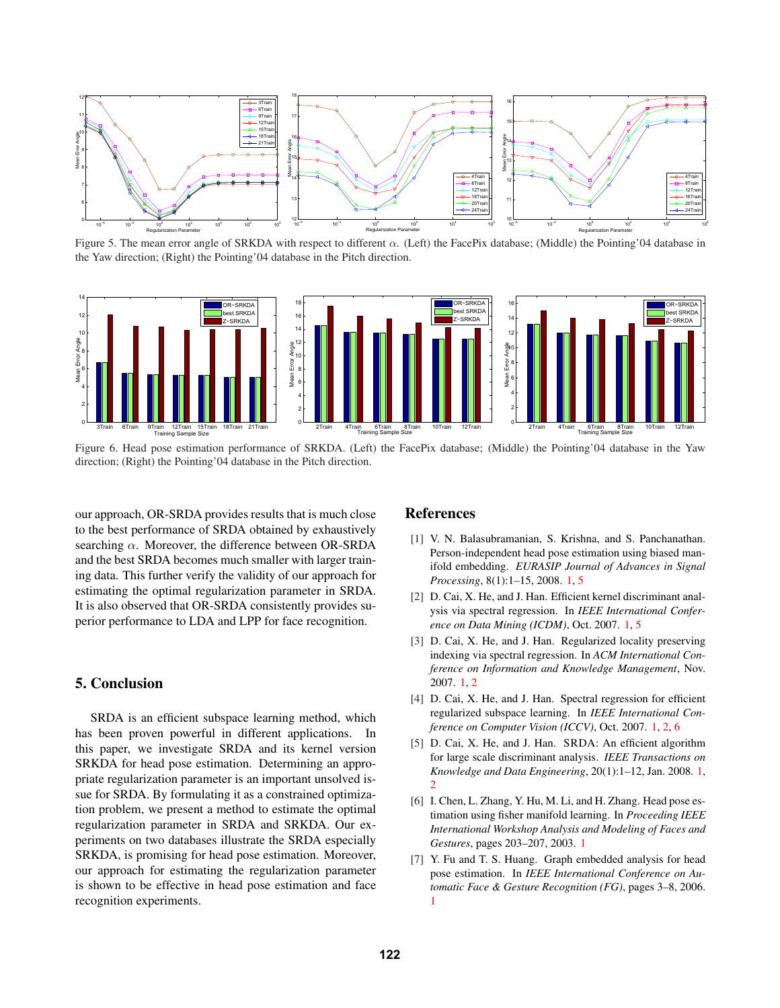

Figure 5. The mean error angle of SRKDA with respect to different α. (Left) the FacePix database; (Middle) the Pointing'04 database in the Yaw direction; (Right) the Pointing'04 database in the Pitch direction.



Figure 6. Head pose estimation performance of SRKDA. (Left) the FacePix database; (Middle) the Pointing'04 database in the Yaw direction; (Right) the Pointing'04 database in the Pitch direction.

our approach, OR-SRDA provides results that is much close to the best performance of SRDA obtained by exhaustively searching  $\alpha$ . Moreover, the difference between OR-SRDA and the best SRDA becomes much smaller with larger training data. This further verify the validity of our approach for estimating the optimal regularization parameter in SRDA. It is also observed that OR-SRDA consistently provides superior performance to LDA and LPP for face recognition.

# 5. Conclusion

SRDA is an efficient subspace learning method, which has been proven powerful in different applications. In this paper, we investigate SRDA and its kernel version SRKDA for head pose estimation. Determining an appropriate regularization parameter is an important unsolved issue for SRDA. By formulating it as a constrained optimization problem, we present a method to estimate the optimal regularization parameter in SRDA and SRKDA. Our experiments on two databases illustrate the SRDA especially SRKDA, is promising for head pose estimation. Moreover, our approach for estimating the regularization parameter is shown to be effective in head pose estimation and face recognition experiments.

## References

- [1] V. N. Balasubramanian, S. Krishna, and S. Panchanathan. Person-independent head pose estimation using biased manifold embedding. *EURASIP Journal of Advances in Signal Processing*, 8(1):1–15, 2008. 1, 5
- [2] D. Cai, X. He, and J. Han. Efficient kernel discriminant analysis via spectral regression. In *IEEE International Conference on Data Mining (ICDM)*, Oct. 2007. 1, 5
- [3] D. Cai, X. He, and J. Han. Regularized locality preserving indexing via spectral regression. In *ACM International Conference on Information and Knowledge Management*, Nov. 2007. 1, 2
- [4] D. Cai, X. He, and J. Han. Spectral regression for efficient regularized subspace learning. In *IEEE International Conference on Computer Vision (ICCV)*, Oct. 2007. 1, 2, 6
- [5] D. Cai, X. He, and J. Han. SRDA: An efficient algorithm for large scale discriminant analysis. *IEEE Transactions on Knowledge and Data Engineering*, 20(1):1–12, Jan. 2008. 1,  $\mathcal{L}$
- [6] I. Chen, L. Zhang, Y. Hu, M. Li, and H. Zhang. Head pose estimation using fisher manifold learning. In *Proceeding IEEE International Workshop Analysis and Modeling of Faces and Gestures*, pages 203–207, 2003. 1
- [7] Y. Fu and T. S. Huang. Graph embedded analysis for head pose estimation. In *IEEE International Conference on Automatic Face & Gesture Recognition (FG)*, pages 3–8, 2006. 1